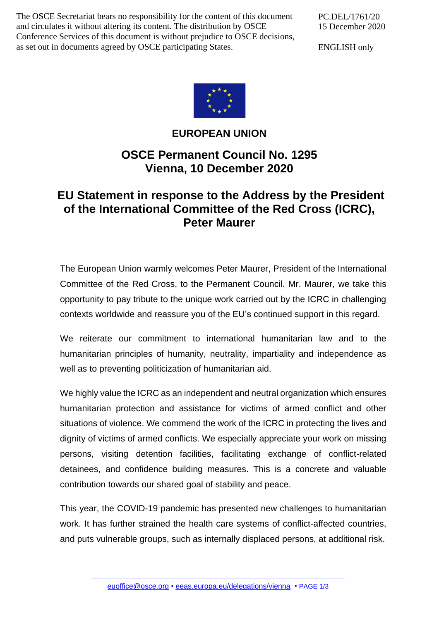The OSCE Secretariat bears no responsibility for the content of this document and circulates it without altering its content. The distribution by OSCE Conference Services of this document is without prejudice to OSCE decisions, as set out in documents agreed by OSCE participating States.

PC.DEL/1761/20 15 December 2020

ENGLISH only



## **EUROPEAN UNION**

## **OSCE Permanent Council No. 1295 Vienna, 10 December 2020**

## **EU Statement in response to the Address by the President of the International Committee of the Red Cross (ICRC), Peter Maurer**

The European Union warmly welcomes Peter Maurer, President of the International Committee of the Red Cross, to the Permanent Council. Mr. Maurer, we take this opportunity to pay tribute to the unique work carried out by the ICRC in challenging contexts worldwide and reassure you of the EU's continued support in this regard.

We reiterate our commitment to international humanitarian law and to the humanitarian principles of humanity, neutrality, impartiality and independence as well as to preventing politicization of humanitarian aid.

We highly value the ICRC as an independent and neutral organization which ensures humanitarian protection and assistance for victims of armed conflict and other situations of violence. We commend the work of the ICRC in protecting the lives and dignity of victims of armed conflicts. We especially appreciate your work on missing persons, visiting detention facilities, facilitating exchange of conflict-related detainees, and confidence building measures. This is a concrete and valuable contribution towards our shared goal of stability and peace.

This year, the COVID-19 pandemic has presented new challenges to humanitarian work. It has further strained the health care systems of conflict-affected countries, and puts vulnerable groups, such as internally displaced persons, at additional risk.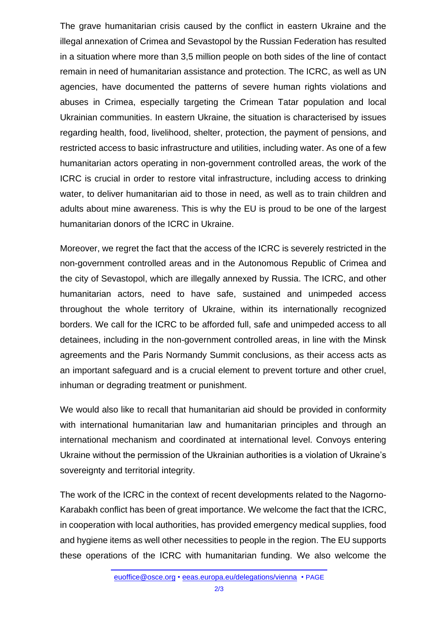The grave humanitarian crisis caused by the conflict in eastern Ukraine and the illegal annexation of Crimea and Sevastopol by the Russian Federation has resulted in a situation where more than 3,5 million people on both sides of the line of contact remain in need of humanitarian assistance and protection. The ICRC, as well as UN agencies, have documented the patterns of severe human rights violations and abuses in Crimea, especially targeting the Crimean Tatar population and local Ukrainian communities. In eastern Ukraine, the situation is characterised by issues regarding health, food, livelihood, shelter, protection, the payment of pensions, and restricted access to basic infrastructure and utilities, including water. As one of a few humanitarian actors operating in non-government controlled areas, the work of the ICRC is crucial in order to restore vital infrastructure, including access to drinking water, to deliver humanitarian aid to those in need, as well as to train children and adults about mine awareness. This is why the EU is proud to be one of the largest humanitarian donors of the ICRC in Ukraine.

Moreover, we regret the fact that the access of the ICRC is severely restricted in the non-government controlled areas and in the Autonomous Republic of Crimea and the city of Sevastopol, which are illegally annexed by Russia. The ICRC, and other humanitarian actors, need to have safe, sustained and unimpeded access throughout the whole territory of Ukraine, within its internationally recognized borders. We call for the ICRC to be afforded full, safe and unimpeded access to all detainees, including in the non-government controlled areas, in line with the Minsk agreements and the Paris Normandy Summit conclusions, as their access acts as an important safeguard and is a crucial element to prevent torture and other cruel, inhuman or degrading treatment or punishment.

We would also like to recall that humanitarian aid should be provided in conformity with international humanitarian law and humanitarian principles and through an international mechanism and coordinated at international level. Convoys entering Ukraine without the permission of the Ukrainian authorities is a violation of Ukraine's sovereignty and territorial integrity.

The work of the ICRC in the context of recent developments related to the Nagorno-Karabakh conflict has been of great importance. We welcome the fact that the ICRC, in cooperation with local authorities, has provided emergency medical supplies, food and hygiene items as well other necessities to people in the region. The EU supports these operations of the ICRC with humanitarian funding. We also welcome the